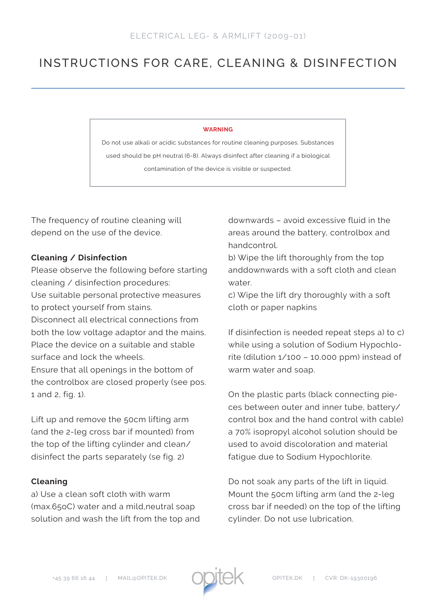## INSTRUCTIONS FOR CARE, CLEANING & DISINFECTION

## **WARNING**

Do not use alkali or acidic substances for routine cleaning purposes. Substances used should be pH neutral (6-8). Always disinfect after cleaning if a biological contamination of the device is visible or suspected.

The frequency of routine cleaning will depend on the use of the device.

## **Cleaning / Disinfection**

Please observe the following before starting cleaning / disinfection procedures: Use suitable personal protective measures to protect yourself from stains. Disconnect all electrical connections from both the low voltage adaptor and the mains. Place the device on a suitable and stable surface and lock the wheels. Ensure that all openings in the bottom of the controlbox are closed properly (see pos. 1 and 2, fig. 1).

Lift up and remove the 50cm lifting arm (and the 2-leg cross bar if mounted) from the top of the lifting cylinder and clean/ disinfect the parts separately (se fig. 2)

## **Cleaning**

a) Use a clean soft cloth with warm (max.65oC) water and a mild,neutral soap solution and wash the lift from the top and downwards – avoid excessive fluid in the areas around the battery, controlbox and handcontrol.

b) Wipe the lift thoroughly from the top anddownwards with a soft cloth and clean water.

c) Wipe the lift dry thoroughly with a soft cloth or paper napkins

If disinfection is needed repeat steps a) to c) while using a solution of Sodium Hypochlorite (dilution 1/100 – 10.000 ppm) instead of warm water and soap.

On the plastic parts (black connecting pieces between outer and inner tube, battery/ control box and the hand control with cable) a 70% isopropyl alcohol solution should be used to avoid discoloration and material fatigue due to Sodium Hypochlorite.

Do not soak any parts of the lift in liquid. Mount the 50cm lifting arm (and the 2-leg cross bar if needed) on the top of the lifting cylinder. Do not use lubrication.